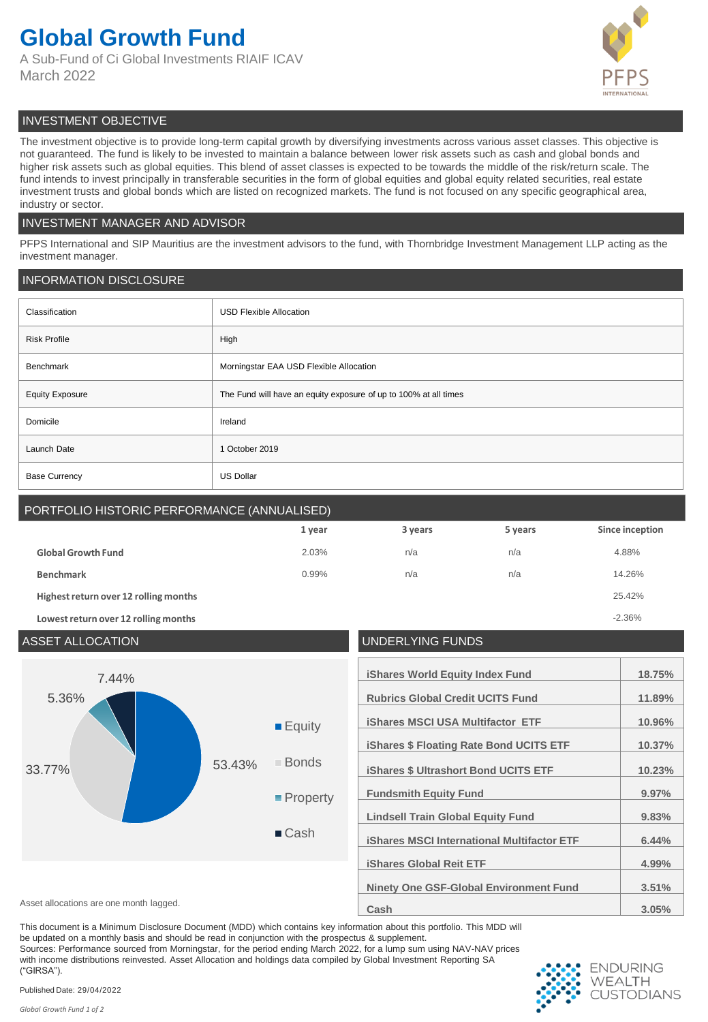## **Global Growth Fund**

A Sub-Fund of Ci Global Investments RIAIF ICAV March 2022



## INVESTMENT OBJECTIVE

The investment objective is to provide long-term capital growth by diversifying investments across various asset classes. This objective is not guaranteed. The fund is likely to be invested to maintain a balance between lower risk assets such as cash and global bonds and higher risk assets such as global equities. This blend of asset classes is expected to be towards the middle of the risk/return scale. The fund intends to invest principally in transferable securities in the form of global equities and global equity related securities, real estate investment trusts and global bonds which are listed on recognized markets. The fund is not focused on any specific geographical area, industry or sector.

## INVESTMENT MANAGER AND ADVISOR

PFPS International and SIP Mauritius are the investment advisors to the fund, with Thornbridge Investment Management LLP acting as the investment manager.

## INFORMATION DISCLOSURE

| Classification         | <b>USD Flexible Allocation</b>                                   |  |
|------------------------|------------------------------------------------------------------|--|
| <b>Risk Profile</b>    | High                                                             |  |
| Benchmark              | Morningstar EAA USD Flexible Allocation                          |  |
| <b>Equity Exposure</b> | The Fund will have an equity exposure of up to 100% at all times |  |
| Domicile               | Ireland                                                          |  |
| Launch Date            | 1 October 2019                                                   |  |
| <b>Base Currency</b>   | <b>US Dollar</b>                                                 |  |

## PORTFOLIO HISTORIC PERFORMANCE (ANNUALISED)

|                                       | 1 year | 3 years | 5 years | Since inception |
|---------------------------------------|--------|---------|---------|-----------------|
| <b>Global Growth Fund</b>             | 2.03%  | n/a     | n/a     | 4.88%           |
| <b>Benchmark</b>                      | 0.99%  | n/a     | n/a     | 14.26%          |
| Highest return over 12 rolling months |        |         |         | 25.42%          |
| Lowest return over 12 rolling months  |        |         |         | $-2.36%$        |

## ASSET ALLOCATION UNDERLYING FUNDS **iShares World Equity Index Fund 18.75% Rubrics Global Credit UCITS Fund 11.89% iShares MSCI USA Multifactor ETF 10.96% iShares \$ Floating Rate Bond UCITS ETF 10.37% iShares \$ Ultrashort Bond UCITS ETF 10.23% Fundsmith Equity Fund 9.97% Lindsell Train Global Equity Fund 9.83% iShares MSCI International Multifactor ETF 6.44% iShares Global Reit ETF 4.99% Ninety One GSF-Global Environment Fund 3.51%** Asset allocations are one month lagged. **3.05% Cash Cash Cash 3.05% 3.05%** 33.77% 53.43% 5.36% 7.44% **Equity** Bonds **Property ■** Cash

This document is a Minimum Disclosure Document (MDD) which contains key information about this portfolio. This MDD will be updated on a monthly basis and should be read in conjunction with the prospectus & supplement.

Sources: Performance sourced from Morningstar, for the period ending March 2022, for a lump sum using NAV-NAV prices with income distributions reinvested. Asset Allocation and holdings data compiled by Global Investment Reporting SA ("GIRSA").



Published Date: 29/04/2022